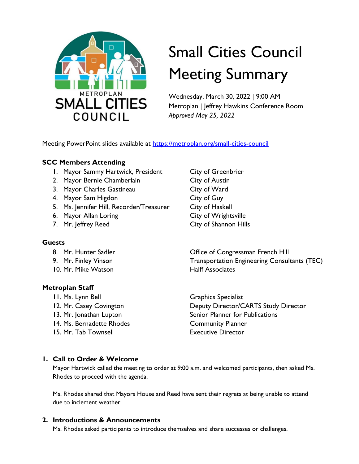

# Small Cities Council Meeting Summary

Wednesday, March 30, 2022 | 9:00 AM Metroplan | Jeffrey Hawkins Conference Room *Approved May 25, 2022* 

Meeting PowerPoint slides available at https://metroplan.org/small-cities-council

## **SCC Members Attending**

- 1. Mayor Sammy Hartwick, President City of Greenbrier
- 2. Mayor Bernie Chamberlain City of Austin
- 3. Mayor Charles Gastineau City of Ward
- 4. Mayor Sam Higdon City of Guy
- 5. Ms. Jennifer Hill, Recorder/Treasurer City of Haskell
- 6. Mayor Allan Loring City of Wrightsville
- 

#### **Guests**

- 
- 
- 10. Mr. Mike Watson **Halff Associates**

## **Metroplan Staff**

11. Ms. Lynn Bell Graphics Specialist 14. Ms. Bernadette Rhodes Community Planner 15. Mr. Tab Townsell Executive Director

7. Mr. Jeffrey Reed City of Shannon Hills

8. Mr. Hunter Sadler **Congressman French Hill** 9. Mr. Finley Vinson **Transportation Engineering Consultants (TEC)** 

12. Mr. Casey Covington **Deputy Director/CARTS Study Director** 13. Mr. Jonathan Lupton Senior Planner for Publications

## **1. Call to Order & Welcome**

Mayor Hartwick called the meeting to order at 9:00 a.m. and welcomed participants, then asked Ms. Rhodes to proceed with the agenda.

Ms. Rhodes shared that Mayors House and Reed have sent their regrets at being unable to attend due to inclement weather.

## **2. Introductions & Announcements**

Ms. Rhodes asked participants to introduce themselves and share successes or challenges.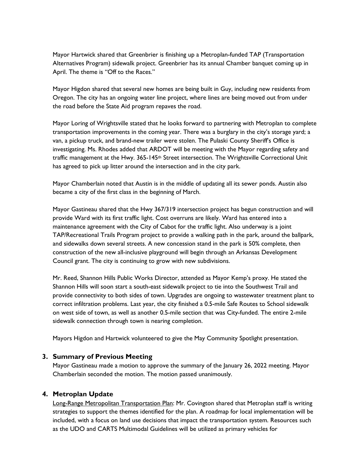Mayor Hartwick shared that Greenbrier is finishing up a Metroplan-funded TAP (Transportation Alternatives Program) sidewalk project. Greenbrier has its annual Chamber banquet coming up in April. The theme is "Off to the Races."

Mayor Higdon shared that several new homes are being built in Guy, including new residents from Oregon. The city has an ongoing water line project, where lines are being moved out from under the road before the State Aid program repaves the road.

Mayor Loring of Wrightsville stated that he looks forward to partnering with Metroplan to complete transportation improvements in the coming year. There was a burglary in the city's storage yard; a van, a pickup truck, and brand-new trailer were stolen. The Pulaski County Sheriff's Office is investigating. Ms. Rhodes added that ARDOT will be meeting with the Mayor regarding safety and traffic management at the Hwy. 365-145<sup>th</sup> Street intersection. The Wrightsville Correctional Unit has agreed to pick up litter around the intersection and in the city park.

Mayor Chamberlain noted that Austin is in the middle of updating all its sewer ponds. Austin also became a city of the first class in the beginning of March.

Mayor Gastineau shared that the Hwy 367/319 intersection project has begun construction and will provide Ward with its first traffic light. Cost overruns are likely. Ward has entered into a maintenance agreement with the City of Cabot for the traffic light. Also underway is a joint TAP/Recreational Trails Program project to provide a walking path in the park, around the ballpark, and sidewalks down several streets. A new concession stand in the park is 50% complete, then construction of the new all-inclusive playground will begin through an Arkansas Development Council grant. The city is continuing to grow with new subdivisions.

Mr. Reed, Shannon Hills Public Works Director, attended as Mayor Kemp's proxy. He stated the Shannon Hills will soon start a south-east sidewalk project to tie into the Southwest Trail and provide connectivity to both sides of town. Upgrades are ongoing to wastewater treatment plant to correct infiltration problems. Last year, the city finished a 0.5-mile Safe Routes to School sidewalk on west side of town, as well as another 0.5-mile section that was City-funded. The entire 2-mile sidewalk connection through town is nearing completion.

Mayors Higdon and Hartwick volunteered to give the May Community Spotlight presentation.

#### **3. Summary of Previous Meeting**

Mayor Gastineau made a motion to approve the summary of the January 26, 2022 meeting. Mayor Chamberlain seconded the motion. The motion passed unanimously.

## **4. Metroplan Update**

Long-Range Metropolitan Transportation Plan: Mr. Covington shared that Metroplan staff is writing strategies to support the themes identified for the plan. A roadmap for local implementation will be included, with a focus on land use decisions that impact the transportation system. Resources such as the UDO and CARTS Multimodal Guidelines will be utilized as primary vehicles for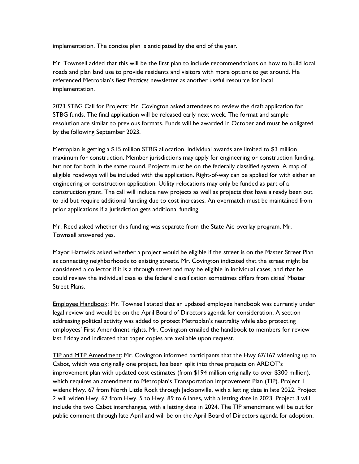implementation. The concise plan is anticipated by the end of the year.

Mr. Townsell added that this will be the first plan to include recommendations on how to build local roads and plan land use to provide residents and visitors with more options to get around. He referenced Metroplan's *Best Practices* newsletter as another useful resource for local implementation.

2023 STBG Call for Projects: Mr. Covington asked attendees to review the draft application for STBG funds. The final application will be released early next week. The format and sample resolution are similar to previous formats. Funds will be awarded in October and must be obligated by the following September 2023.

Metroplan is getting a \$15 million STBG allocation. Individual awards are limited to \$3 million maximum for construction. Member jurisdictions may apply for engineering or construction funding, but not for both in the same round. Projects must be on the federally classified system. A map of eligible roadways will be included with the application. Right-of-way can be applied for with either an engineering or construction application. Utility relocations may only be funded as part of a construction grant. The call will include new projects as well as projects that have already been out to bid but require additional funding due to cost increases. An overmatch must be maintained from prior applications if a jurisdiction gets additional funding.

Mr. Reed asked whether this funding was separate from the State Aid overlay program. Mr. Townsell answered yes.

Mayor Hartwick asked whether a project would be eligible if the street is on the Master Street Plan as connecting neighborhoods to existing streets. Mr. Covington indicated that the street might be considered a collector if it is a through street and may be eligible in individual cases, and that he could review the individual case as the federal classification sometimes differs from cities' Master Street Plans.

Employee Handbook: Mr. Townsell stated that an updated employee handbook was currently under legal review and would be on the April Board of Directors agenda for consideration. A section addressing political activity was added to protect Metroplan's neutrality while also protecting employees' First Amendment rights. Mr. Covington emailed the handbook to members for review last Friday and indicated that paper copies are available upon request.

TIP and MTP Amendment: Mr. Covington informed participants that the Hwy 67/167 widening up to Cabot, which was originally one project, has been split into three projects on ARDOT's improvement plan with updated cost estimates (from \$194 million originally to over \$300 million), which requires an amendment to Metroplan's Transportation Improvement Plan (TIP). Project 1 widens Hwy. 67 from North Little Rock through Jacksonville, with a letting date in late 2022. Project 2 will widen Hwy. 67 from Hwy. 5 to Hwy. 89 to 6 lanes, with a letting date in 2023. Project 3 will include the two Cabot interchanges, with a letting date in 2024. The TIP amendment will be out for public comment through late April and will be on the April Board of Directors agenda for adoption.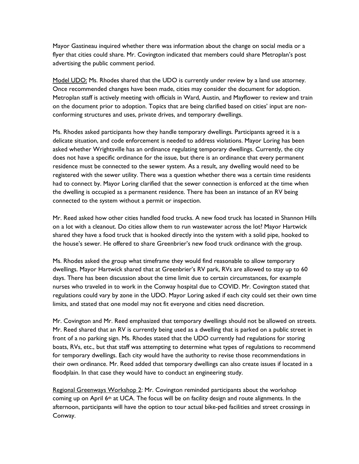Mayor Gastineau inquired whether there was information about the change on social media or a flyer that cities could share. Mr. Covington indicated that members could share Metroplan's post advertising the public comment period.

Model UDO: Ms. Rhodes shared that the UDO is currently under review by a land use attorney. Once recommended changes have been made, cities may consider the document for adoption. Metroplan staff is actively meeting with officials in Ward, Austin, and Mayflower to review and train on the document prior to adoption. Topics that are being clarified based on cities' input are nonconforming structures and uses, private drives, and temporary dwellings.

Ms. Rhodes asked participants how they handle temporary dwellings. Participants agreed it is a delicate situation, and code enforcement is needed to address violations. Mayor Loring has been asked whether Wrightsville has an ordinance regulating temporary dwellings. Currently, the city does not have a specific ordinance for the issue, but there is an ordinance that every permanent residence must be connected to the sewer system. As a result, any dwelling would need to be registered with the sewer utility. There was a question whether there was a certain time residents had to connect by. Mayor Loring clarified that the sewer connection is enforced at the time when the dwelling is occupied as a permanent residence. There has been an instance of an RV being connected to the system without a permit or inspection.

Mr. Reed asked how other cities handled food trucks. A new food truck has located in Shannon Hills on a lot with a cleanout. Do cities allow them to run wastewater across the lot? Mayor Hartwick shared they have a food truck that is hooked directly into the system with a solid pipe, hooked to the house's sewer. He offered to share Greenbrier's new food truck ordinance with the group.

Ms. Rhodes asked the group what timeframe they would find reasonable to allow temporary dwellings. Mayor Hartwick shared that at Greenbrier's RV park, RVs are allowed to stay up to 60 days. There has been discussion about the time limit due to certain circumstances, for example nurses who traveled in to work in the Conway hospital due to COVID. Mr. Covington stated that regulations could vary by zone in the UDO. Mayor Loring asked if each city could set their own time limits, and stated that one model may not fit everyone and cities need discretion.

Mr. Covington and Mr. Reed emphasized that temporary dwellings should not be allowed on streets. Mr. Reed shared that an RV is currently being used as a dwelling that is parked on a public street in front of a no parking sign. Ms. Rhodes stated that the UDO currently had regulations for storing boats, RVs, etc., but that staff was attempting to determine what types of regulations to recommend for temporary dwellings. Each city would have the authority to revise those recommendations in their own ordinance. Mr. Reed added that temporary dwellings can also create issues if located in a floodplain. In that case they would have to conduct an engineering study.

Regional Greenways Workshop 2: Mr. Covington reminded participants about the workshop coming up on April 6th at UCA. The focus will be on facility design and route alignments. In the afternoon, participants will have the option to tour actual bike-ped facilities and street crossings in Conway.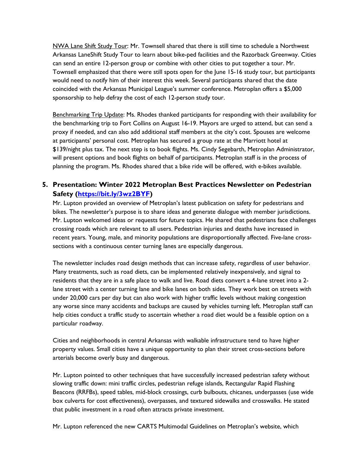NWA Lane Shift Study Tour: Mr. Townsell shared that there is still time to schedule a Northwest Arkansas LaneShift Study Tour to learn about bike-ped facilities and the Razorback Greenway. Cities can send an entire 12-person group or combine with other cities to put together a tour. Mr. Townsell emphasized that there were still spots open for the June 15-16 study tour, but participants would need to notify him of their interest this week. Several participants shared that the date coincided with the Arkansas Municipal League's summer conference. Metroplan offers a \$5,000 sponsorship to help defray the cost of each 12-person study tour.

Benchmarking Trip Update: Ms. Rhodes thanked participants for responding with their availability for the benchmarking trip to Fort Collins on August 16-19. Mayors are urged to attend, but can send a proxy if needed, and can also add additional staff members at the city's cost. Spouses are welcome at participants' personal cost. Metroplan has secured a group rate at the Marriott hotel at \$139/night plus tax. The next step is to book flights. Ms. Cindy Segebarth, Metroplan Administrator, will present options and book flights on behalf of participants. Metroplan staff is in the process of planning the program. Ms. Rhodes shared that a bike ride will be offered, with e-bikes available.

## **5. Presentation: Winter 2022 Metroplan Best Practices Newsletter on Pedestrian Safety (https://bit.ly/3wz2BYF)**

Mr. Lupton provided an overview of Metroplan's latest publication on safety for pedestrians and bikes. The newsletter's purpose is to share ideas and generate dialogue with member jurisdictions. Mr. Lupton welcomed ideas or requests for future topics. He shared that pedestrians face challenges crossing roads which are relevant to all users. Pedestrian injuries and deaths have increased in recent years. Young, male, and minority populations are disproportionally affected. Five-lane crosssections with a continuous center turning lanes are especially dangerous.

The newsletter includes road design methods that can increase safety, regardless of user behavior. Many treatments, such as road diets, can be implemented relatively inexpensively, and signal to residents that they are in a safe place to walk and live. Road diets convert a 4-lane street into a 2 lane street with a center turning lane and bike lanes on both sides. They work best on streets with under 20,000 cars per day but can also work with higher traffic levels without making congestion any worse since many accidents and backups are caused by vehicles turning left. Metroplan staff can help cities conduct a traffic study to ascertain whether a road diet would be a feasible option on a particular roadway.

Cities and neighborhoods in central Arkansas with walkable infrastructure tend to have higher property values. Small cities have a unique opportunity to plan their street cross-sections before arterials become overly busy and dangerous.

Mr. Lupton pointed to other techniques that have successfully increased pedestrian safety without slowing traffic down: mini traffic circles, pedestrian refuge islands, Rectangular Rapid Flashing Beacons (RRFBs), speed tables, mid-block crossings, curb bulbouts, chicanes, underpasses (use wide box culverts for cost effectiveness), overpasses, and textured sidewalks and crosswalks. He stated that public investment in a road often attracts private investment.

Mr. Lupton referenced the new CARTS Multimodal Guidelines on Metroplan's website, which